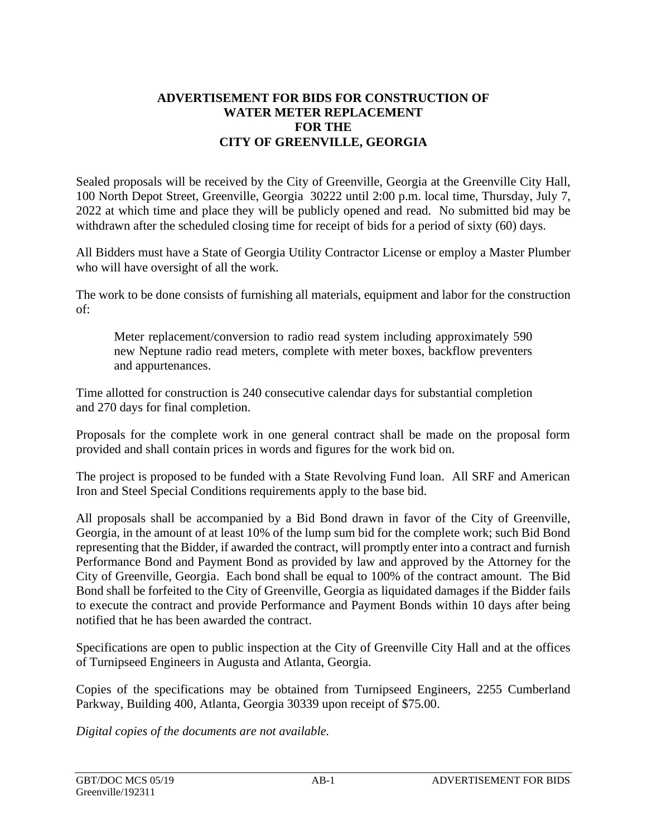## **ADVERTISEMENT FOR BIDS FOR CONSTRUCTION OF WATER METER REPLACEMENT FOR THE CITY OF GREENVILLE, GEORGIA**

Sealed proposals will be received by the City of Greenville, Georgia at the Greenville City Hall, 100 North Depot Street, Greenville, Georgia 30222 until 2:00 p.m. local time, Thursday, July 7, 2022 at which time and place they will be publicly opened and read. No submitted bid may be withdrawn after the scheduled closing time for receipt of bids for a period of sixty (60) days.

All Bidders must have a State of Georgia Utility Contractor License or employ a Master Plumber who will have oversight of all the work.

The work to be done consists of furnishing all materials, equipment and labor for the construction of:

Meter replacement/conversion to radio read system including approximately 590 new Neptune radio read meters, complete with meter boxes, backflow preventers and appurtenances.

Time allotted for construction is 240 consecutive calendar days for substantial completion and 270 days for final completion.

Proposals for the complete work in one general contract shall be made on the proposal form provided and shall contain prices in words and figures for the work bid on.

The project is proposed to be funded with a State Revolving Fund loan. All SRF and American Iron and Steel Special Conditions requirements apply to the base bid.

All proposals shall be accompanied by a Bid Bond drawn in favor of the City of Greenville, Georgia, in the amount of at least 10% of the lump sum bid for the complete work; such Bid Bond representing that the Bidder, if awarded the contract, will promptly enter into a contract and furnish Performance Bond and Payment Bond as provided by law and approved by the Attorney for the City of Greenville, Georgia. Each bond shall be equal to 100% of the contract amount. The Bid Bond shall be forfeited to the City of Greenville, Georgia as liquidated damages if the Bidder fails to execute the contract and provide Performance and Payment Bonds within 10 days after being notified that he has been awarded the contract.

Specifications are open to public inspection at the City of Greenville City Hall and at the offices of Turnipseed Engineers in Augusta and Atlanta, Georgia.

Copies of the specifications may be obtained from Turnipseed Engineers, 2255 Cumberland Parkway, Building 400, Atlanta, Georgia 30339 upon receipt of \$75.00.

*Digital copies of the documents are not available.*